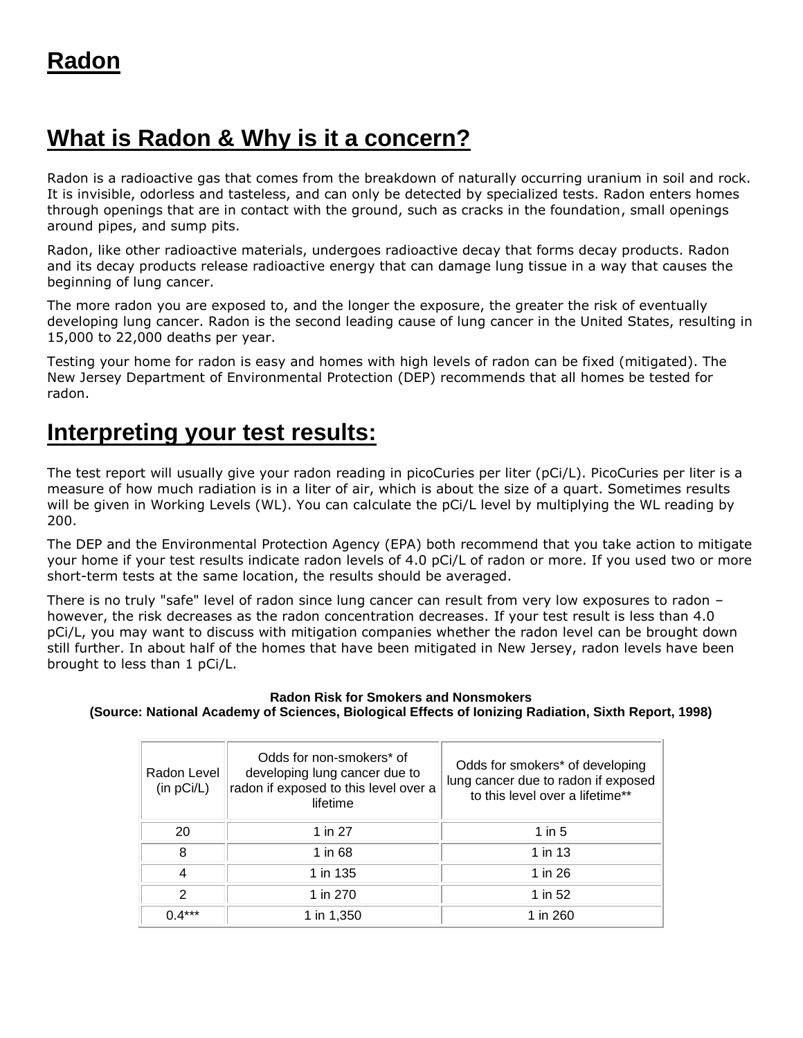## **What is Radon & Why is it a concern?**

Radon is a radioactive gas that comes from the breakdown of naturally occurring uranium in soil and rock. It is invisible, odorless and tasteless, and can only be detected by specialized tests. Radon enters homes through openings that are in contact with the ground, such as cracks in the foundation, small openings around pipes, and sump pits.

Radon, like other radioactive materials, undergoes radioactive decay that forms decay products. Radon and its decay products release radioactive energy that can damage lung tissue in a way that causes the beginning of lung cancer.

The more radon you are exposed to, and the longer the exposure, the greater the risk of eventually developing lung cancer. Radon is the second leading cause of lung cancer in the United States, resulting in 15,000 to 22,000 deaths per year.

Testing your home for radon is easy and homes with high levels of radon can be fixed (mitigated). The New Jersey Department of Environmental Protection (DEP) recommends that all homes be tested for radon.

## **Interpreting your test results:**

The test report will usually give your radon reading in picoCuries per liter (pCi/L). PicoCuries per liter is a measure of how much radiation is in a liter of air, which is about the size of a quart. Sometimes results will be given in Working Levels (WL). You can calculate the pCi/L level by multiplying the WL reading by 200.

The DEP and the Environmental Protection Agency (EPA) both recommend that you take action to mitigate your home if your test results indicate radon levels of 4.0 pCi/L of radon or more. If you used two or more short-term tests at the same location, the results should be averaged.

There is no truly "safe" level of radon since lung cancer can result from very low exposures to radon – however, the risk decreases as the radon concentration decreases. If your test result is less than 4.0 pCi/L, you may want to discuss with mitigation companies whether the radon level can be brought down still further. In about half of the homes that have been mitigated in New Jersey, radon levels have been brought to less than 1 pCi/L.

## **Radon Risk for Smokers and Nonsmokers (Source: National Academy of Sciences, Biological Effects of Ionizing Radiation, Sixth Report, 1998)**

| Radon Level<br>(in pCi/L) | Odds for non-smokers* of<br>developing lung cancer due to<br>radon if exposed to this level over a<br>lifetime | Odds for smokers* of developing<br>lung cancer due to radon if exposed<br>to this level over a lifetime** |
|---------------------------|----------------------------------------------------------------------------------------------------------------|-----------------------------------------------------------------------------------------------------------|
| 20                        | 1 in 27                                                                                                        | 1 in $5$                                                                                                  |
| 8                         | 1 in 68                                                                                                        | 1 in 13                                                                                                   |
| 4                         | 1 in 135                                                                                                       | 1 in 26                                                                                                   |
| 2                         | 1 in 270                                                                                                       | 1 in 52                                                                                                   |
| $0.4***$                  | 1 in 1,350                                                                                                     | 1 in 260                                                                                                  |